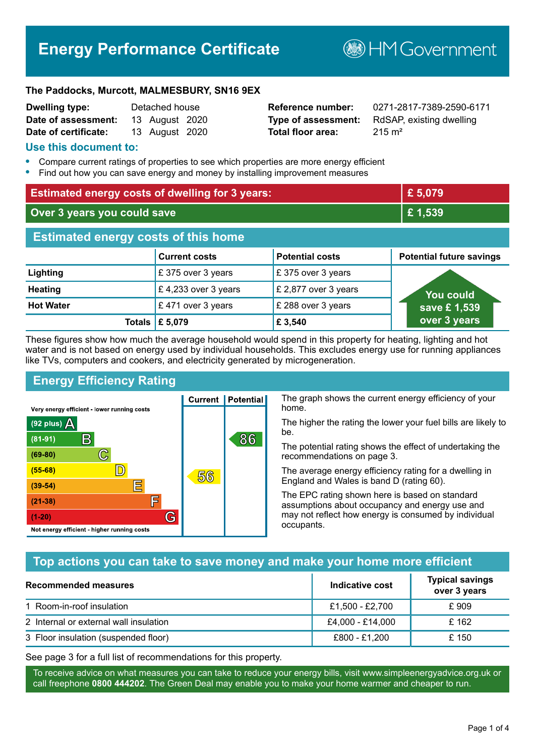# **Energy Performance Certificate**

**B**HM Government

#### **The Paddocks, Murcott, MALMESBURY, SN16 9EX**

| <b>Dwelling type:</b> | Detached house |                |  |
|-----------------------|----------------|----------------|--|
| Date of assessment:   |                | 13 August 2020 |  |
| Date of certificate:  |                | 13 August 2020 |  |

# **Total floor area:** 215 m<sup>2</sup>

**Reference number:** 0271-2817-7389-2590-6171 **Type of assessment:** RdSAP, existing dwelling

#### **Use this document to:**

- **•** Compare current ratings of properties to see which properties are more energy efficient
- **•** Find out how you can save energy and money by installing improvement measures

| <b>Estimated energy costs of dwelling for 3 years:</b> |                           |                        | £5,079                          |
|--------------------------------------------------------|---------------------------|------------------------|---------------------------------|
| Over 3 years you could save                            |                           | £1,539                 |                                 |
| <b>Estimated energy costs of this home</b>             |                           |                        |                                 |
|                                                        | <b>Current costs</b>      | <b>Potential costs</b> | <b>Potential future savings</b> |
| Lighting                                               | £375 over 3 years         | £375 over 3 years      |                                 |
| <b>Heating</b>                                         | £4,233 over 3 years       | £ 2,877 over 3 years   | You could                       |
| <b>Hot Water</b>                                       | £471 over 3 years         | £ 288 over 3 years     | save £1,539                     |
|                                                        | Totals $\mathsf{E}$ 5,079 | £ 3,540                | over 3 years                    |

These figures show how much the average household would spend in this property for heating, lighting and hot water and is not based on energy used by individual households. This excludes energy use for running appliances like TVs, computers and cookers, and electricity generated by microgeneration.

**Current | Potential** 

56

# **Energy Efficiency Rating**

 $\mathbb{C}$ 

 $\mathbb{D}$ 

E

庐

G

Very energy efficient - lower running costs

 $\mathsf{R}% _{T}$ 

Not energy efficient - higher running costs

 $(92$  plus)

 $(81 - 91)$ 

 $(69 - 80)$ 

 $(55-68)$ 

 $(39 - 54)$ 

 $(21-38)$ 

 $(1-20)$ 

- 70

The graph shows the current energy efficiency of your home.

The higher the rating the lower your fuel bills are likely to be.

The potential rating shows the effect of undertaking the recommendations on page 3.

The average energy efficiency rating for a dwelling in England and Wales is band D (rating 60).

The EPC rating shown here is based on standard assumptions about occupancy and energy use and may not reflect how energy is consumed by individual occupants.

# **Top actions you can take to save money and make your home more efficient**

86

| Recommended measures                   | Indicative cost  | <b>Typical savings</b><br>over 3 years |
|----------------------------------------|------------------|----------------------------------------|
| 1 Room-in-roof insulation              | £1,500 - £2,700  | £ 909                                  |
| 2 Internal or external wall insulation | £4,000 - £14,000 | £162                                   |
| 3 Floor insulation (suspended floor)   | £800 - £1,200    | £ 150                                  |

See page 3 for a full list of recommendations for this property.

To receive advice on what measures you can take to reduce your energy bills, visit www.simpleenergyadvice.org.uk or call freephone **0800 444202**. The Green Deal may enable you to make your home warmer and cheaper to run.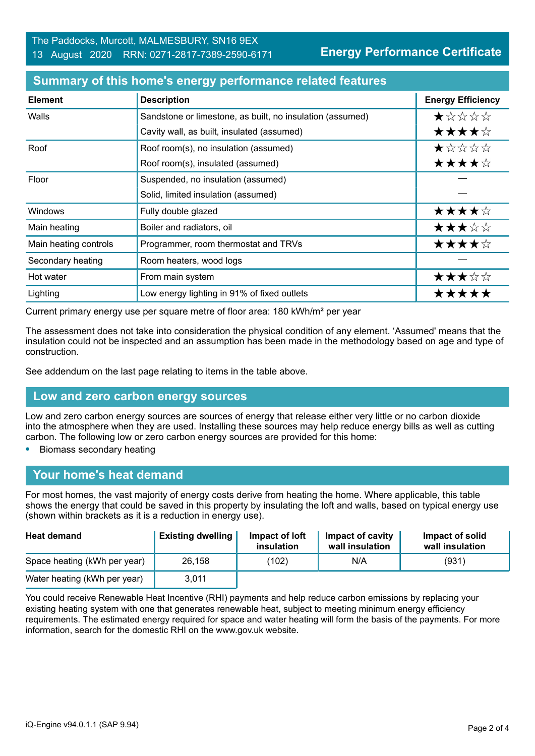**Energy Performance Certificate**

| <b>Element</b>        | <b>Description</b>                                        | <b>Energy Efficiency</b> |
|-----------------------|-----------------------------------------------------------|--------------------------|
| Walls                 | Sandstone or limestone, as built, no insulation (assumed) | $\star$ * * * *          |
|                       | Cavity wall, as built, insulated (assumed)                | ★★★★☆                    |
| Roof                  | Roof room(s), no insulation (assumed)                     | ★☆☆☆☆                    |
|                       | Roof room(s), insulated (assumed)                         | ★★★★☆                    |
| Floor                 | Suspended, no insulation (assumed)                        |                          |
|                       | Solid, limited insulation (assumed)                       |                          |
| Windows               | Fully double glazed                                       | ★★★★☆                    |
| Main heating          | Boiler and radiators, oil                                 | ★★★☆☆                    |
| Main heating controls | Programmer, room thermostat and TRVs                      | ★★★★☆                    |
| Secondary heating     | Room heaters, wood logs                                   |                          |
| Hot water             | From main system                                          | ★★★☆☆                    |
| Lighting              | Low energy lighting in 91% of fixed outlets               | *****                    |

#### **Summary of this home's energy performance related features**

Current primary energy use per square metre of floor area: 180 kWh/m² per year

The assessment does not take into consideration the physical condition of any element. 'Assumed' means that the insulation could not be inspected and an assumption has been made in the methodology based on age and type of construction.

See addendum on the last page relating to items in the table above.

#### **Low and zero carbon energy sources**

Low and zero carbon energy sources are sources of energy that release either very little or no carbon dioxide into the atmosphere when they are used. Installing these sources may help reduce energy bills as well as cutting carbon. The following low or zero carbon energy sources are provided for this home:

**•** Biomass secondary heating

#### **Your home's heat demand**

For most homes, the vast majority of energy costs derive from heating the home. Where applicable, this table shows the energy that could be saved in this property by insulating the loft and walls, based on typical energy use (shown within brackets as it is a reduction in energy use).

| <b>Heat demand</b>           | <b>Existing dwelling</b> | Impact of loft<br>insulation | Impact of cavity<br>wall insulation | Impact of solid<br>wall insulation |
|------------------------------|--------------------------|------------------------------|-------------------------------------|------------------------------------|
| Space heating (kWh per year) | 26,158                   | (102)                        | N/A                                 | (931)                              |
| Water heating (kWh per year) | 3,011                    |                              |                                     |                                    |

You could receive Renewable Heat Incentive (RHI) payments and help reduce carbon emissions by replacing your existing heating system with one that generates renewable heat, subject to meeting minimum energy efficiency requirements. The estimated energy required for space and water heating will form the basis of the payments. For more information, search for the domestic RHI on the www.gov.uk website.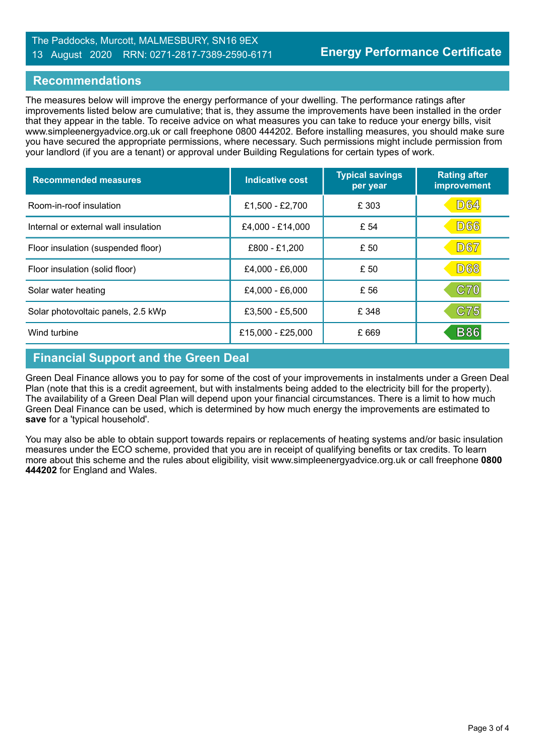#### The Paddocks, Murcott, MALMESBURY, SN16 9EX 13 August 2020 RRN: 0271-2817-7389-2590-6171

### **Recommendations**

The measures below will improve the energy performance of your dwelling. The performance ratings after improvements listed below are cumulative; that is, they assume the improvements have been installed in the order that they appear in the table. To receive advice on what measures you can take to reduce your energy bills, visit www.simpleenergyadvice.org.uk or call freephone 0800 444202. Before installing measures, you should make sure you have secured the appropriate permissions, where necessary. Such permissions might include permission from your landlord (if you are a tenant) or approval under Building Regulations for certain types of work.

| <b>Recommended measures</b>          | Indicative cost   | <b>Typical savings</b><br>per year | <b>Rating after</b><br>improvement |
|--------------------------------------|-------------------|------------------------------------|------------------------------------|
| Room-in-roof insulation              | £1,500 - £2,700   | £ 303                              | <b>D64</b>                         |
| Internal or external wall insulation | £4,000 - £14,000  | £ 54                               | <b>D66</b>                         |
| Floor insulation (suspended floor)   | £800 - £1,200     | £ 50                               | <b>D67</b>                         |
| Floor insulation (solid floor)       | £4,000 - £6,000   | £ 50                               | <b>D68</b>                         |
| Solar water heating                  | £4,000 - £6,000   | £ 56                               | C70                                |
| Solar photovoltaic panels, 2.5 kWp   | £3,500 - £5,500   | £ 348                              | C75                                |
| Wind turbine                         | £15,000 - £25,000 | £ 669                              | <b>B86</b>                         |

# **Financial Support and the Green Deal**

Green Deal Finance allows you to pay for some of the cost of your improvements in instalments under a Green Deal Plan (note that this is a credit agreement, but with instalments being added to the electricity bill for the property). The availability of a Green Deal Plan will depend upon your financial circumstances. There is a limit to how much Green Deal Finance can be used, which is determined by how much energy the improvements are estimated to **save** for a 'typical household'.

You may also be able to obtain support towards repairs or replacements of heating systems and/or basic insulation measures under the ECO scheme, provided that you are in receipt of qualifying benefits or tax credits. To learn more about this scheme and the rules about eligibility, visit www.simpleenergyadvice.org.uk or call freephone **0800 444202** for England and Wales.